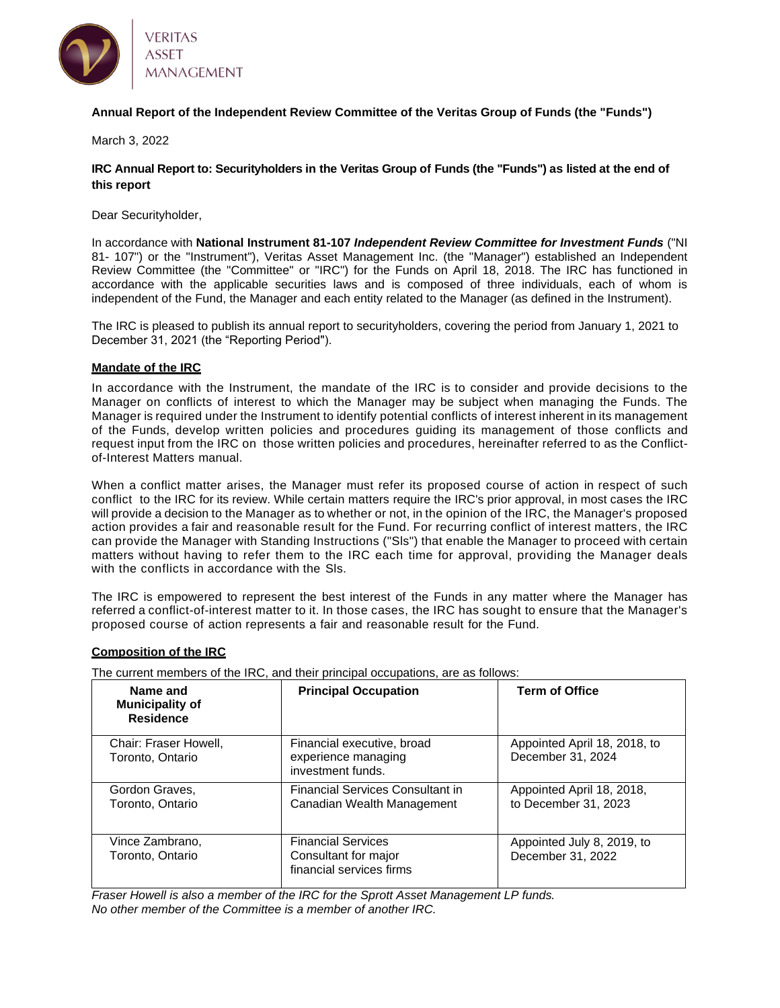

## **Annual Report of the Independent Review Committee of the Veritas Group of Funds (the "Funds")**

March 3, 2022

**IRC Annual Report to: Securityholders in the Veritas Group of Funds (the "Funds") as listed at the end of this report**

Dear Securityholder,

In accordance with **National Instrument 81-107** *Independent Review Committee for Investment Funds* ("NI 81- 107") or the "Instrument"), Veritas Asset Management Inc. (the "Manager") established an Independent Review Committee (the "Committee" or "IRC") for the Funds on April 18, 2018. The IRC has functioned in accordance with the applicable securities laws and is composed of three individuals, each of whom is independent of the Fund, the Manager and each entity related to the Manager (as defined in the Instrument).

The IRC is pleased to publish its annual report to securityholders, covering the period from January 1, 2021 to December 31, 2021 (the "Reporting Period").

#### **Mandate of the IRC**

In accordance with the Instrument, the mandate of the IRC is to consider and provide decisions to the Manager on conflicts of interest to which the Manager may be subject when managing the Funds. The Manager is required under the Instrument to identify potential conflicts of interest inherent in its management of the Funds, develop written policies and procedures guiding its management of those conflicts and request input from the IRC on those written policies and procedures, hereinafter referred to as the Conflictof-Interest Matters manual.

When a conflict matter arises, the Manager must refer its proposed course of action in respect of such conflict to the IRC for its review. While certain matters require the IRC's prior approval, in most cases the IRC will provide a decision to the Manager as to whether or not, in the opinion of the IRC, the Manager's proposed action provides a fair and reasonable result for the Fund. For recurring conflict of interest matters, the IRC can provide the Manager with Standing Instructions ("Sls") that enable the Manager to proceed with certain matters without having to refer them to the IRC each time for approval, providing the Manager deals with the conflicts in accordance with the SIs.

The IRC is empowered to represent the best interest of the Funds in any matter where the Manager has referred a conflict-of-interest matter to it. In those cases, the IRC has sought to ensure that the Manager's proposed course of action represents a fair and reasonable result for the Fund.

#### **Composition of the IRC**

The current members of the IRC, and their principal occupations, are as follows:

| Name and<br><b>Municipality of</b><br><b>Residence</b> | <b>Principal Occupation</b>                                                   | <b>Term of Office</b>                             |
|--------------------------------------------------------|-------------------------------------------------------------------------------|---------------------------------------------------|
| Chair: Fraser Howell,<br>Toronto, Ontario              | Financial executive, broad<br>experience managing<br>investment funds.        | Appointed April 18, 2018, to<br>December 31, 2024 |
| Gordon Graves,<br>Toronto, Ontario                     | <b>Financial Services Consultant in</b><br>Canadian Wealth Management         | Appointed April 18, 2018,<br>to December 31, 2023 |
| Vince Zambrano,<br>Toronto, Ontario                    | <b>Financial Services</b><br>Consultant for major<br>financial services firms | Appointed July 8, 2019, to<br>December 31, 2022   |

*Fraser Howell is also a member of the IRC for the Sprott Asset Management LP funds. No other member of the Committee is a member of another IRC.*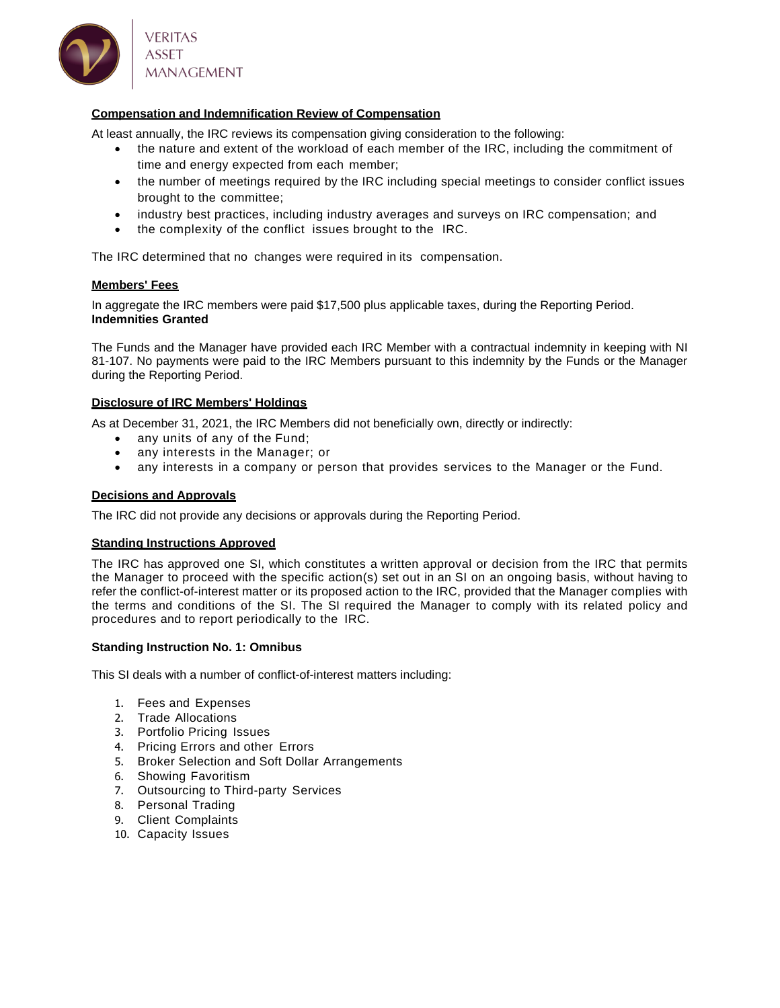

## **Compensation and Indemnification Review of Compensation**

At least annually, the IRC reviews its compensation giving consideration to the following:

- the nature and extent of the workload of each member of the IRC, including the commitment of time and energy expected from each member;
- the number of meetings required by the IRC including special meetings to consider conflict issues brought to the committee;
- industry best practices, including industry averages and surveys on IRC compensation; and
- the complexity of the conflict issues brought to the IRC.

The IRC determined that no changes were required in its compensation.

#### **Members' Fees**

In aggregate the IRC members were paid \$17,500 plus applicable taxes, during the Reporting Period. **Indemnities Granted**

The Funds and the Manager have provided each IRC Member with a contractual indemnity in keeping with NI 81-107. No payments were paid to the IRC Members pursuant to this indemnity by the Funds or the Manager during the Reporting Period.

## **Disclosure of IRC Members' Holdings**

As at December 31, 2021, the IRC Members did not beneficially own, directly or indirectly:

- any units of any of the Fund;
- any interests in the Manager; or
- any interests in a company or person that provides services to the Manager or the Fund.

#### **Decisions and Approvals**

The IRC did not provide any decisions or approvals during the Reporting Period.

#### **Standing Instructions Approved**

The IRC has approved one SI, which constitutes a written approval or decision from the IRC that permits the Manager to proceed with the specific action(s) set out in an SI on an ongoing basis, without having to refer the conflict-of-interest matter or its proposed action to the IRC, provided that the Manager complies with the terms and conditions of the SI. The SI required the Manager to comply with its related policy and procedures and to report periodically to the IRC.

#### **Standing Instruction No. 1: Omnibus**

This SI deals with a number of conflict-of-interest matters including:

- 1. Fees and Expenses
- 2. Trade Allocations
- 3. Portfolio Pricing Issues
- 4. Pricing Errors and other Errors
- 5. Broker Selection and Soft Dollar Arrangements
- 6. Showing Favoritism
- 7. Outsourcing to Third-party Services
- 8. Personal Trading
- 9. Client Complaints
- 10. Capacity Issues